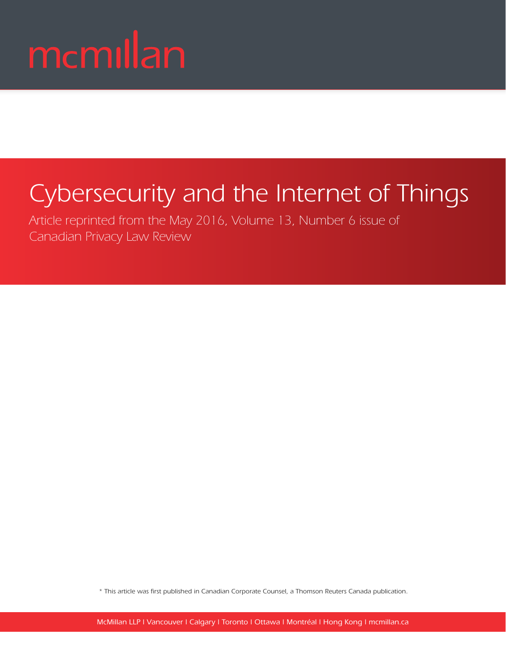# mcmillan

## Cybersecurity and the Internet of Things

Article reprinted from the May 2016, Volume 13, Number 6 issue of Canadian Privacy Law Review

\* This article was first published in Canadian Corporate Counsel, a Thomson Reuters Canada publication.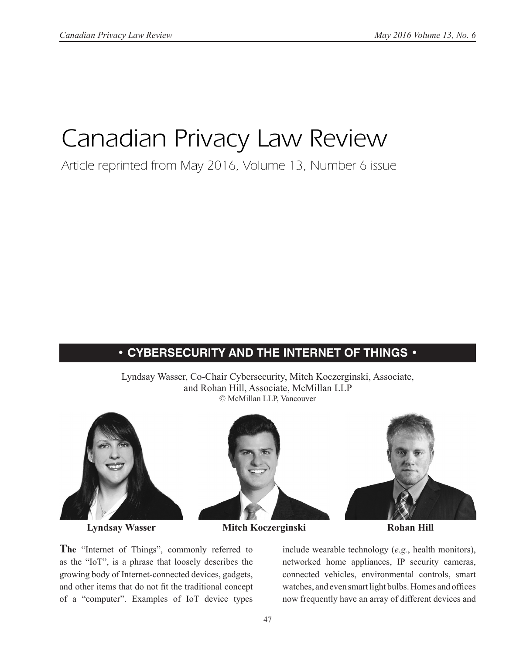### Canadian Privacy Law Review

Article reprinted from May 2016, Volume 13, Number 6 issue

### **• CYBERSECURITY AND THE INTERNET OF THINGS •**

Lyndsay Wasser, Co-Chair Cybersecurity, Mitch Koczerginski, Associate, and Rohan Hill, Associate, McMillan LLP © McMillan LLP, Vancouver



**Lyndsay Wasser Mitch Koczerginski Rohan Hill**

**The** "Internet of Things", commonly referred to as the "IoT", is a phrase that loosely describes the growing body of Internet-connected devices, gadgets, and other items that do not fit the traditional concept of a "computer". Examples of IoT device types

include wearable technology (*e.g.*, health monitors), networked home appliances, IP security cameras, connected vehicles, environmental controls, smart watches, and even smart light bulbs. Homes and offices now frequently have an array of different devices and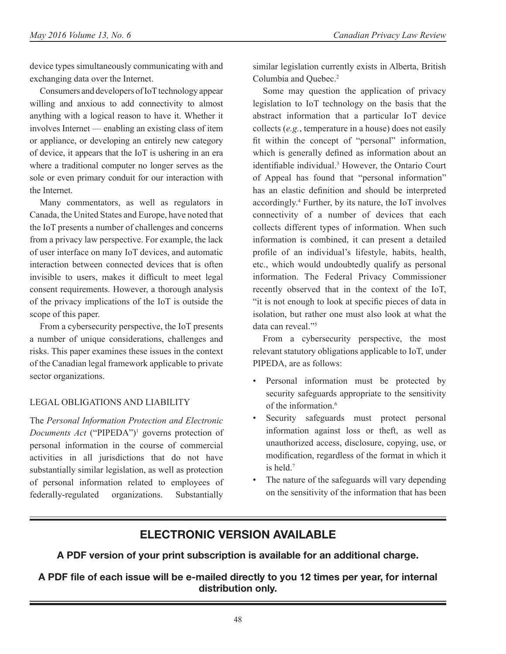device types simultaneously communicating with and exchanging data over the Internet.

Consumers and developers of IoT technology appear willing and anxious to add connectivity to almost anything with a logical reason to have it. Whether it involves Internet — enabling an existing class of item or appliance, or developing an entirely new category of device, it appears that the IoT is ushering in an era where a traditional computer no longer serves as the sole or even primary conduit for our interaction with the Internet.

Many commentators, as well as regulators in Canada, the United States and Europe, have noted that the IoT presents a number of challenges and concerns from a privacy law perspective. For example, the lack of user interface on many IoT devices, and automatic interaction between connected devices that is often invisible to users, makes it difficult to meet legal consent requirements. However, a thorough analysis of the privacy implications of the IoT is outside the scope of this paper.

From a cybersecurity perspective, the IoT presents a number of unique considerations, challenges and risks. This paper examines these issues in the context of the Canadian legal framework applicable to private sector organizations.

#### LEGAL OBLIGATIONS AND LIABILITY

The *Personal Information Protection and Electronic*  Documents Act ("PIPEDA")<sup>1</sup> governs protection of personal information in the course of commercial activities in all jurisdictions that do not have substantially similar legislation, as well as protection of personal information related to employees of federally-regulated organizations. Substantially

similar legislation currently exists in Alberta, British Columbia and Quebec.2

Some may question the application of privacy legislation to IoT technology on the basis that the abstract information that a particular IoT device collects (*e.g.*, temperature in a house) does not easily fit within the concept of "personal" information, which is generally defined as information about an identifiable individual.<sup>3</sup> However, the Ontario Court of Appeal has found that "personal information" has an elastic definition and should be interpreted accordingly.4 Further, by its nature, the IoT involves connectivity of a number of devices that each collects different types of information. When such information is combined, it can present a detailed profile of an individual's lifestyle, habits, health, etc., which would undoubtedly qualify as personal information. The Federal Privacy Commissioner recently observed that in the context of the IoT, "it is not enough to look at specific pieces of data in isolation, but rather one must also look at what the data can reveal."5

From a cybersecurity perspective, the most relevant statutory obligations applicable to IoT, under PIPEDA, are as follows:

- Personal information must be protected by security safeguards appropriate to the sensitivity of the information.<sup>6</sup>
- Security safeguards must protect personal information against loss or theft, as well as unauthorized access, disclosure, copying, use, or modification, regardless of the format in which it is held.7
- The nature of the safeguards will vary depending on the sensitivity of the information that has been

### **ELECTRONIC VERSION AVAILABLE**

**A PDF version of your print subscription is available for an additional charge.** 

**A PDF file of each issue will be e-mailed directly to you 12 times per year, for internal distribution only.**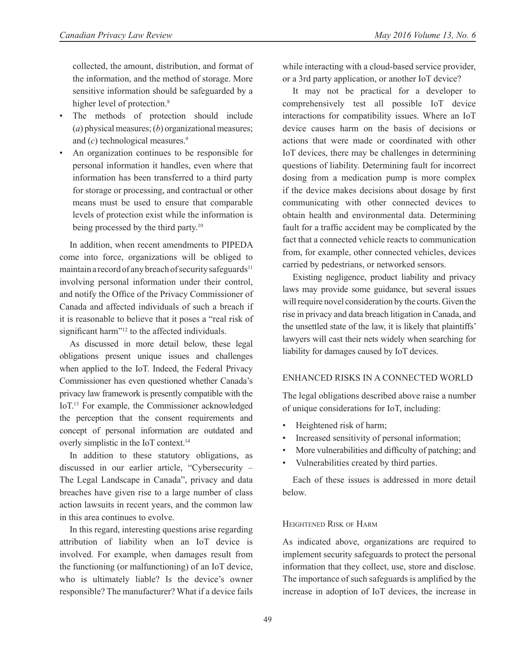collected, the amount, distribution, and format of the information, and the method of storage. More sensitive information should be safeguarded by a higher level of protection.<sup>8</sup>

- The methods of protection should include (*a*) physical measures; (*b*) organizational measures; and (*c*) technological measures.<sup>9</sup>
- An organization continues to be responsible for personal information it handles, even where that information has been transferred to a third party for storage or processing, and contractual or other means must be used to ensure that comparable levels of protection exist while the information is being processed by the third party.<sup>10</sup>

In addition, when recent amendments to PIPEDA come into force, organizations will be obliged to maintain a record of any breach of security safeguards<sup>11</sup> involving personal information under their control, and notify the Office of the Privacy Commissioner of Canada and affected individuals of such a breach if it is reasonable to believe that it poses a "real risk of significant harm"<sup>12</sup> to the affected individuals.

As discussed in more detail below, these legal obligations present unique issues and challenges when applied to the IoT. Indeed, the Federal Privacy Commissioner has even questioned whether Canada's privacy law framework is presently compatible with the IoT.13 For example, the Commissioner acknowledged the perception that the consent requirements and concept of personal information are outdated and overly simplistic in the IoT context.14

In addition to these statutory obligations, as discussed in our earlier article, "Cybersecurity – The Legal Landscape in Canada", privacy and data breaches have given rise to a large number of class action lawsuits in recent years, and the common law in this area continues to evolve.

In this regard, interesting questions arise regarding attribution of liability when an IoT device is involved. For example, when damages result from the functioning (or malfunctioning) of an IoT device, who is ultimately liable? Is the device's owner responsible? The manufacturer? What if a device fails

while interacting with a cloud-based service provider, or a 3rd party application, or another IoT device?

It may not be practical for a developer to comprehensively test all possible IoT device interactions for compatibility issues. Where an IoT device causes harm on the basis of decisions or actions that were made or coordinated with other IoT devices, there may be challenges in determining questions of liability. Determining fault for incorrect dosing from a medication pump is more complex if the device makes decisions about dosage by first communicating with other connected devices to obtain health and environmental data. Determining fault for a traffic accident may be complicated by the fact that a connected vehicle reacts to communication from, for example, other connected vehicles, devices carried by pedestrians, or networked sensors.

Existing negligence, product liability and privacy laws may provide some guidance, but several issues will require novel consideration by the courts. Given the rise in privacy and data breach litigation in Canada, and the unsettled state of the law, it is likely that plaintiffs' lawyers will cast their nets widely when searching for liability for damages caused by IoT devices.

#### ENHANCED RISKS IN A CONNECTED WORLD

The legal obligations described above raise a number of unique considerations for IoT, including:

- Heightened risk of harm;
- Increased sensitivity of personal information;
- More vulnerabilities and difficulty of patching; and
- Vulnerabilities created by third parties.

Each of these issues is addressed in more detail below.

#### Heightened Risk of Harm

As indicated above, organizations are required to implement security safeguards to protect the personal information that they collect, use, store and disclose. The importance of such safeguards is amplified by the increase in adoption of IoT devices, the increase in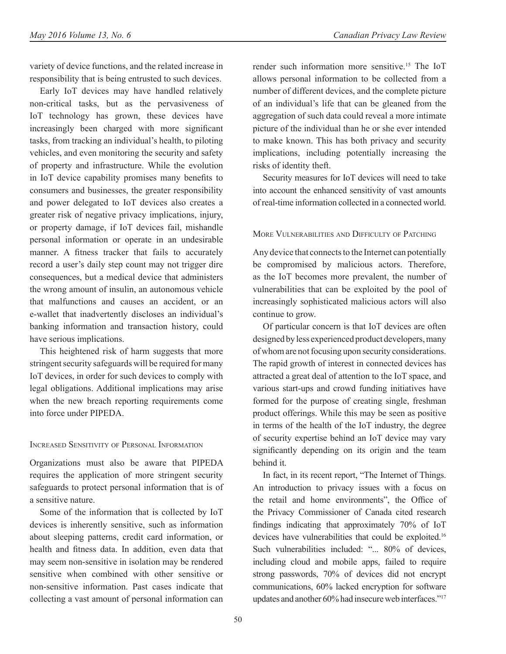variety of device functions, and the related increase in responsibility that is being entrusted to such devices.

Early IoT devices may have handled relatively non-critical tasks, but as the pervasiveness of IoT technology has grown, these devices have increasingly been charged with more significant tasks, from tracking an individual's health, to piloting vehicles, and even monitoring the security and safety of property and infrastructure. While the evolution in IoT device capability promises many benefits to consumers and businesses, the greater responsibility and power delegated to IoT devices also creates a greater risk of negative privacy implications, injury, or property damage, if IoT devices fail, mishandle personal information or operate in an undesirable manner. A fitness tracker that fails to accurately record a user's daily step count may not trigger dire consequences, but a medical device that administers the wrong amount of insulin, an autonomous vehicle that malfunctions and causes an accident, or an e-wallet that inadvertently discloses an individual's banking information and transaction history, could have serious implications.

This heightened risk of harm suggests that more stringent security safeguards will be required for many IoT devices, in order for such devices to comply with legal obligations. Additional implications may arise when the new breach reporting requirements come into force under PIPEDA.

#### Increased Sensitivity of Personal Information

Organizations must also be aware that PIPEDA requires the application of more stringent security safeguards to protect personal information that is of a sensitive nature.

Some of the information that is collected by IoT devices is inherently sensitive, such as information about sleeping patterns, credit card information, or health and fitness data. In addition, even data that may seem non-sensitive in isolation may be rendered sensitive when combined with other sensitive or non-sensitive information. Past cases indicate that collecting a vast amount of personal information can render such information more sensitive.15 The IoT allows personal information to be collected from a number of different devices, and the complete picture of an individual's life that can be gleaned from the aggregation of such data could reveal a more intimate picture of the individual than he or she ever intended to make known. This has both privacy and security implications, including potentially increasing the risks of identity theft.

Security measures for IoT devices will need to take into account the enhanced sensitivity of vast amounts of real-time information collected in a connected world.

#### More Vulnerabilities and Difficulty of Patching

Any device that connects to the Internet can potentially be compromised by malicious actors. Therefore, as the IoT becomes more prevalent, the number of vulnerabilities that can be exploited by the pool of increasingly sophisticated malicious actors will also continue to grow.

Of particular concern is that IoT devices are often designed by less experienced product developers, many of whom are not focusing upon security considerations. The rapid growth of interest in connected devices has attracted a great deal of attention to the IoT space, and various start-ups and crowd funding initiatives have formed for the purpose of creating single, freshman product offerings. While this may be seen as positive in terms of the health of the IoT industry, the degree of security expertise behind an IoT device may vary significantly depending on its origin and the team behind it.

In fact, in its recent report, "The Internet of Things. An introduction to privacy issues with a focus on the retail and home environments", the Office of the Privacy Commissioner of Canada cited research findings indicating that approximately 70% of IoT devices have vulnerabilities that could be exploited.16 Such vulnerabilities included: "... 80% of devices, including cloud and mobile apps, failed to require strong passwords, 70% of devices did not encrypt communications, 60% lacked encryption for software updates and another 60% had insecure web interfaces."17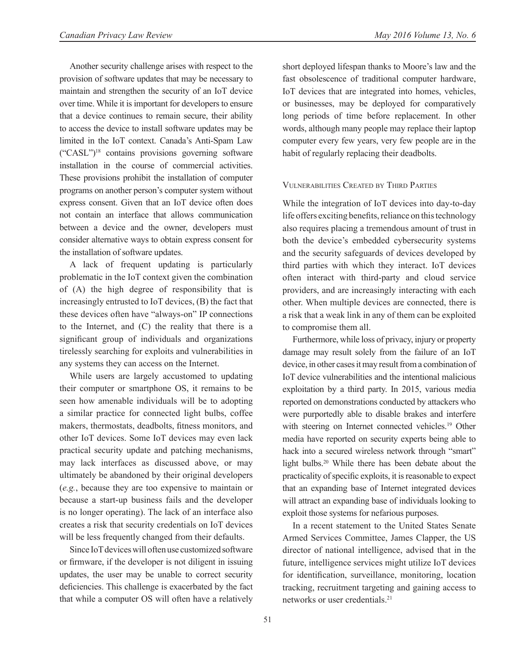Another security challenge arises with respect to the provision of software updates that may be necessary to maintain and strengthen the security of an IoT device over time. While it is important for developers to ensure that a device continues to remain secure, their ability to access the device to install software updates may be limited in the IoT context. Canada's Anti-Spam Law ("CASL")18 contains provisions governing software installation in the course of commercial activities. These provisions prohibit the installation of computer programs on another person's computer system without express consent. Given that an IoT device often does not contain an interface that allows communication between a device and the owner, developers must consider alternative ways to obtain express consent for the installation of software updates.

A lack of frequent updating is particularly problematic in the IoT context given the combination of (A) the high degree of responsibility that is increasingly entrusted to IoT devices, (B) the fact that these devices often have "always-on" IP connections to the Internet, and (C) the reality that there is a significant group of individuals and organizations tirelessly searching for exploits and vulnerabilities in any systems they can access on the Internet.

While users are largely accustomed to updating their computer or smartphone OS, it remains to be seen how amenable individuals will be to adopting a similar practice for connected light bulbs, coffee makers, thermostats, deadbolts, fitness monitors, and other IoT devices. Some IoT devices may even lack practical security update and patching mechanisms, may lack interfaces as discussed above, or may ultimately be abandoned by their original developers (*e.g.*, because they are too expensive to maintain or because a start-up business fails and the developer is no longer operating). The lack of an interface also creates a risk that security credentials on IoT devices will be less frequently changed from their defaults.

Since IoT devices will often use customized software or firmware, if the developer is not diligent in issuing updates, the user may be unable to correct security deficiencies. This challenge is exacerbated by the fact that while a computer OS will often have a relatively short deployed lifespan thanks to Moore's law and the fast obsolescence of traditional computer hardware, IoT devices that are integrated into homes, vehicles, or businesses, may be deployed for comparatively long periods of time before replacement. In other words, although many people may replace their laptop computer every few years, very few people are in the habit of regularly replacing their deadbolts.

#### Vulnerabilities Created by Third Parties

While the integration of IoT devices into day-to-day life offers exciting benefits, reliance on this technology also requires placing a tremendous amount of trust in both the device's embedded cybersecurity systems and the security safeguards of devices developed by third parties with which they interact. IoT devices often interact with third-party and cloud service providers, and are increasingly interacting with each other. When multiple devices are connected, there is a risk that a weak link in any of them can be exploited to compromise them all.

Furthermore, while loss of privacy, injury or property damage may result solely from the failure of an IoT device, in other cases it may result from a combination of IoT device vulnerabilities and the intentional malicious exploitation by a third party. In 2015, various media reported on demonstrations conducted by attackers who were purportedly able to disable brakes and interfere with steering on Internet connected vehicles.<sup>19</sup> Other media have reported on security experts being able to hack into a secured wireless network through "smart" light bulbs.20 While there has been debate about the practicality of specific exploits, it is reasonable to expect that an expanding base of Internet integrated devices will attract an expanding base of individuals looking to exploit those systems for nefarious purposes.

In a recent statement to the United States Senate Armed Services Committee, James Clapper, the US director of national intelligence, advised that in the future, intelligence services might utilize IoT devices for identification, surveillance, monitoring, location tracking, recruitment targeting and gaining access to networks or user credentials.21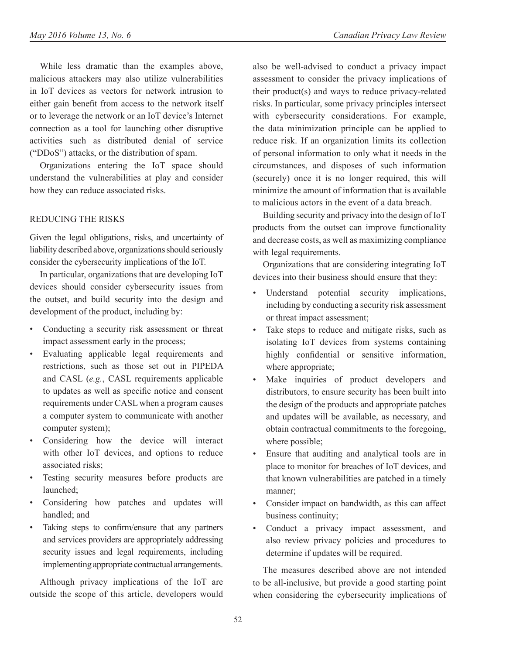While less dramatic than the examples above, malicious attackers may also utilize vulnerabilities in IoT devices as vectors for network intrusion to either gain benefit from access to the network itself or to leverage the network or an IoT device's Internet connection as a tool for launching other disruptive activities such as distributed denial of service ("DDoS") attacks, or the distribution of spam.

Organizations entering the IoT space should understand the vulnerabilities at play and consider how they can reduce associated risks.

#### REDUCING THE RISKS

Given the legal obligations, risks, and uncertainty of liability described above, organizations should seriously consider the cybersecurity implications of the IoT.

In particular, organizations that are developing IoT devices should consider cybersecurity issues from the outset, and build security into the design and development of the product, including by:

- Conducting a security risk assessment or threat impact assessment early in the process;
- Evaluating applicable legal requirements and restrictions, such as those set out in PIPEDA and CASL (*e.g.*, CASL requirements applicable to updates as well as specific notice and consent requirements under CASL when a program causes a computer system to communicate with another computer system);
- Considering how the device will interact with other IoT devices, and options to reduce associated risks;
- Testing security measures before products are launched;
- Considering how patches and updates will handled; and
- Taking steps to confirm/ensure that any partners and services providers are appropriately addressing security issues and legal requirements, including implementing appropriate contractual arrangements.

Although privacy implications of the IoT are outside the scope of this article, developers would

also be well-advised to conduct a privacy impact assessment to consider the privacy implications of their product(s) and ways to reduce privacy-related risks. In particular, some privacy principles intersect with cybersecurity considerations. For example, the data minimization principle can be applied to reduce risk. If an organization limits its collection of personal information to only what it needs in the circumstances, and disposes of such information (securely) once it is no longer required, this will minimize the amount of information that is available to malicious actors in the event of a data breach.

Building security and privacy into the design of IoT products from the outset can improve functionality and decrease costs, as well as maximizing compliance with legal requirements.

Organizations that are considering integrating IoT devices into their business should ensure that they:

- Understand potential security implications, including by conducting a security risk assessment or threat impact assessment;
- Take steps to reduce and mitigate risks, such as isolating IoT devices from systems containing highly confidential or sensitive information, where appropriate;
- Make inquiries of product developers and distributors, to ensure security has been built into the design of the products and appropriate patches and updates will be available, as necessary, and obtain contractual commitments to the foregoing, where possible;
- Ensure that auditing and analytical tools are in place to monitor for breaches of IoT devices, and that known vulnerabilities are patched in a timely manner;
- Consider impact on bandwidth, as this can affect business continuity;
- Conduct a privacy impact assessment, and also review privacy policies and procedures to determine if updates will be required.

The measures described above are not intended to be all-inclusive, but provide a good starting point when considering the cybersecurity implications of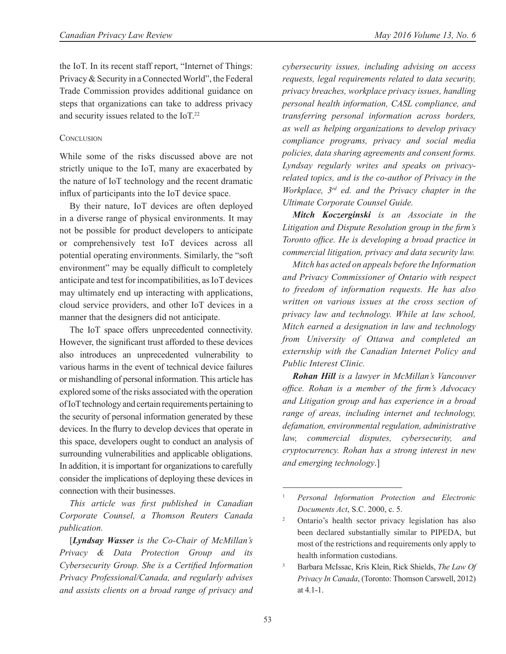the IoT. In its recent staff report, "Internet of Things: Privacy & Security in a Connected World", the Federal Trade Commission provides additional guidance on steps that organizations can take to address privacy and security issues related to the IoT.22

#### **CONCLUSION**

While some of the risks discussed above are not strictly unique to the IoT, many are exacerbated by the nature of IoT technology and the recent dramatic influx of participants into the IoT device space.

By their nature, IoT devices are often deployed in a diverse range of physical environments. It may not be possible for product developers to anticipate or comprehensively test IoT devices across all potential operating environments. Similarly, the "soft environment" may be equally difficult to completely anticipate and test for incompatibilities, as IoT devices may ultimately end up interacting with applications, cloud service providers, and other IoT devices in a manner that the designers did not anticipate.

The IoT space offers unprecedented connectivity. However, the significant trust afforded to these devices also introduces an unprecedented vulnerability to various harms in the event of technical device failures or mishandling of personal information. This article has explored some of the risks associated with the operation of IoT technology and certain requirements pertaining to the security of personal information generated by these devices. In the flurry to develop devices that operate in this space, developers ought to conduct an analysis of surrounding vulnerabilities and applicable obligations. In addition, it is important for organizations to carefully consider the implications of deploying these devices in connection with their businesses.

*This article was first published in Canadian Corporate Counsel, a Thomson Reuters Canada publication.*

[*Lyndsay Wasser is the Co-Chair of McMillan's Privacy & Data Protection Group and its Cybersecurity Group. She is a Certified Information Privacy Professional/Canada, and regularly advises and assists clients on a broad range of privacy and*  *cybersecurity issues, including advising on access requests, legal requirements related to data security, privacy breaches, workplace privacy issues, handling personal health information, CASL compliance, and transferring personal information across borders, as well as helping organizations to develop privacy compliance programs, privacy and social media policies, data sharing agreements and consent forms. Lyndsay regularly writes and speaks on privacyrelated topics, and is the co-author of Privacy in the Workplace, 3rd ed. and the Privacy chapter in the Ultimate Corporate Counsel Guide.*

*Mitch Koczerginski is an Associate in the Litigation and Dispute Resolution group in the firm's Toronto office. He is developing a broad practice in commercial litigation, privacy and data security law.*

*Mitch has acted on appeals before the Information and Privacy Commissioner of Ontario with respect to freedom of information requests. He has also written on various issues at the cross section of privacy law and technology. While at law school, Mitch earned a designation in law and technology from University of Ottawa and completed an externship with the Canadian Internet Policy and Public Interest Clinic.*

*Rohan Hill is a lawyer in McMillan's Vancouver office. Rohan is a member of the firm's Advocacy and Litigation group and has experience in a broad range of areas, including internet and technology, defamation, environmental regulation, administrative law, commercial disputes, cybersecurity, and cryptocurrency. Rohan has a strong interest in new and emerging technology*.]

<sup>1</sup> *Personal Information Protection and Electronic Documents Act*, S.C. 2000, c. 5.

<sup>2</sup> Ontario's health sector privacy legislation has also been declared substantially similar to PIPEDA, but most of the restrictions and requirements only apply to health information custodians.

<sup>3</sup> Barbara McIssac, Kris Klein, Rick Shields, *The Law Of Privacy In Canada*, (Toronto: Thomson Carswell, 2012) at 4.1-1.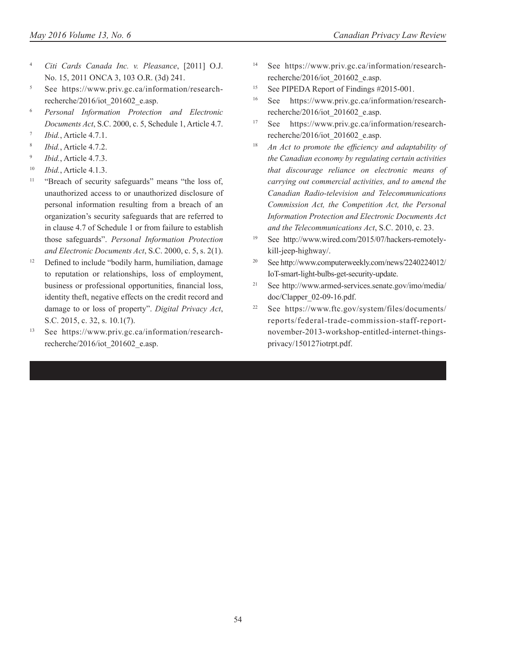- <sup>4</sup> *Citi Cards Canada Inc. v. Pleasance*, [2011] O.J. No. 15, 2011 ONCA 3, 103 O.R. (3d) 241.
- <sup>5</sup> See https://www.priv.gc.ca/information/researchrecherche/2016/iot\_201602\_e.asp.
- <sup>6</sup> *Personal Information Protection and Electronic Documents Act*, S.C. 2000, c. 5, Schedule 1, Article 4.7.
- <sup>7</sup> *Ibid.*, Article 4.7.1.
- <sup>8</sup> *Ibid.*, Article 4.7.2.
- <sup>9</sup> *Ibid.*, Article 4.7.3.
- <sup>10</sup> *Ibid.*, Article 4.1.3.
- <sup>11</sup> "Breach of security safeguards" means "the loss of, unauthorized access to or unauthorized disclosure of personal information resulting from a breach of an organization's security safeguards that are referred to in clause 4.7 of Schedule 1 or from failure to establish those safeguards". *Personal Information Protection and Electronic Documents Act*, S.C. 2000, c. 5, s. 2(1).
- <sup>12</sup> Defined to include "bodily harm, humiliation, damage to reputation or relationships, loss of employment, business or professional opportunities, financial loss, identity theft, negative effects on the credit record and damage to or loss of property". *Digital Privacy Act*, S.C. 2015, c. 32, s. 10.1(7).
- <sup>13</sup> See https://www.priv.gc.ca/information/researchrecherche/2016/iot\_201602\_e.asp.
- See https://www.priv.gc.ca/information/researchrecherche/2016/iot\_201602\_e.asp.
- <sup>15</sup> See PIPEDA Report of Findings #2015-001.
- <sup>16</sup> See https://www.priv.gc.ca/information/researchrecherche/2016/iot\_201602\_e.asp.
- <sup>17</sup> See https://www.priv.gc.ca/information/researchrecherche/2016/iot\_201602\_e.asp.
- <sup>18</sup> *An Act to promote the efficiency and adaptability of the Canadian economy by regulating certain activities that discourage reliance on electronic means of carrying out commercial activities, and to amend the Canadian Radio-television and Telecommunications Commission Act, the Competition Act, the Personal Information Protection and Electronic Documents Act and the Telecommunications Act*, S.C. 2010, c. 23.
- <sup>19</sup> See http://www.wired.com/2015/07/hackers-remotelykill-jeep-highway/.
- <sup>20</sup> See http://www.computerweekly.com/news/2240224012/ IoT-smart-light-bulbs-get-security-update.
- <sup>21</sup> See http://www.armed-services.senate.gov/imo/media/ doc/Clapper\_02-09-16.pdf.
- <sup>22</sup> See https://www.ftc.gov/system/files/documents/ reports/federal-trade-commission-staff-reportnovember-2013-workshop-entitled-internet-thingsprivacy/150127iotrpt.pdf.